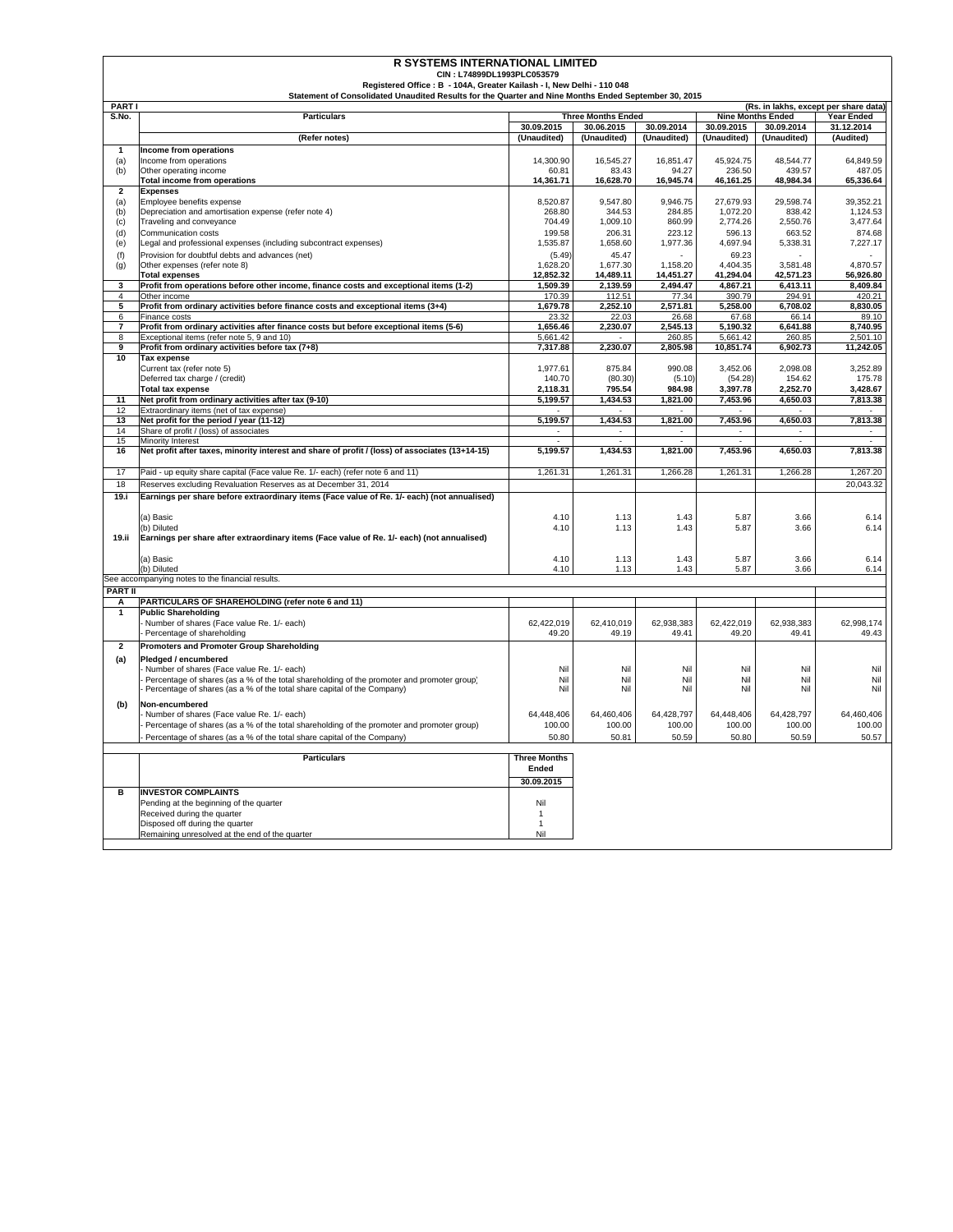| <b>R SYSTEMS INTERNATIONAL LIMITED</b> |                                                                                                         |                          |                           |                    |                          |                          |                                       |  |
|----------------------------------------|---------------------------------------------------------------------------------------------------------|--------------------------|---------------------------|--------------------|--------------------------|--------------------------|---------------------------------------|--|
|                                        | CIN: L74899DL1993PLC053579<br>Registered Office: B - 104A, Greater Kailash - I, New Delhi - 110 048     |                          |                           |                    |                          |                          |                                       |  |
|                                        | Statement of Consolidated Unaudited Results for the Quarter and Nine Months Ended September 30, 2015    |                          |                           |                    |                          |                          |                                       |  |
| <b>PARTI</b>                           |                                                                                                         |                          |                           |                    |                          |                          | (Rs. in lakhs, except per share data) |  |
| S.No.                                  | <b>Particulars</b>                                                                                      |                          | <b>Three Months Ended</b> |                    | <b>Nine Months Ended</b> |                          | <b>Year Ended</b>                     |  |
|                                        |                                                                                                         | 30.09.2015               | 30.06.2015                | 30.09.2014         | 30.09.2015               | 30.09.2014               | 31.12.2014                            |  |
|                                        | (Refer notes)                                                                                           | (Unaudited)              | (Unaudited)               | (Unaudited)        | (Unaudited)              | (Unaudited)              | (Audited)                             |  |
| 1                                      | Income from operations                                                                                  |                          |                           |                    |                          |                          |                                       |  |
| (a)<br>(b)                             | Income from operations<br>Other operating income                                                        | 14,300.90<br>60.81       | 16,545.27<br>83.43        | 16,851.47<br>94.27 | 45,924.75<br>236.50      | 48,544.77<br>439.57      | 64,849.59<br>487.05                   |  |
|                                        | Total income from operations                                                                            | 14,361.71                | 16,628.70                 | 16,945.74          | 46,161.25                | 48,984.34                | 65,336.64                             |  |
| $\overline{\mathbf{2}}$                | <b>Expenses</b>                                                                                         |                          |                           |                    |                          |                          |                                       |  |
| (a)                                    | Employee benefits expense                                                                               | 8,520.87                 | 9,547.80                  | 9,946.75           | 27,679.93                | 29,598.74                | 39,352.21                             |  |
| (b)                                    | Depreciation and amortisation expense (refer note 4)                                                    | 268.80                   | 344.53                    | 284.85             | 1,072.20                 | 838.42                   | 1,124.53                              |  |
| (c)                                    | Traveling and conveyance<br>Communication costs                                                         | 704.49<br>199.58         | 1,009.10                  | 860.99<br>223.12   | 2,774.26                 | 2,550.76<br>663.52       | 3.477.64<br>874.68                    |  |
| (d)<br>(e)                             | Legal and professional expenses (including subcontract expenses)                                        | 1.535.87                 | 206.31<br>1,658.60        | 1,977.36           | 596.13<br>4.697.94       | 5,338.31                 | 7.227.17                              |  |
| (f)                                    | Provision for doubtful debts and advances (net)                                                         | (5.49)                   | 45.47                     |                    | 69.23                    |                          |                                       |  |
| (g)                                    | Other expenses (refer note 8)                                                                           | 1,628.20                 | 1,677.30                  | 1,158.20           | 4,404.35                 | 3,581.48                 | 4,870.57                              |  |
|                                        | <b>Total expenses</b>                                                                                   | 12,852.32                | 14,489.11                 | 14,451.27          | 41,294.04                | 42,571.23                | 56,926.80                             |  |
| 3                                      | Profit from operations before other income, finance costs and exceptional items (1-2)                   | 1,509.39                 | 2,139.59                  | 2,494.47           | 4,867.21                 | 6,413.11                 | 8,409.84                              |  |
| $\overline{a}$                         | Other income                                                                                            | 170.39                   | 112.51                    | 77.34              | 390.79                   | 294.91                   | 420.21                                |  |
| 5                                      | Profit from ordinary activities before finance costs and exceptional items (3+4)                        | 1,679.78                 | 2,252.10                  | 2,571.81           | 5,258.00                 | 6,708.02                 | 8,830.05                              |  |
| 6<br>7                                 | Finance costs<br>Profit from ordinary activities after finance costs but before exceptional items (5-6) | 23.32<br>1,656.46        | 22.03<br>2,230.07         | 26.68<br>2,545.13  | 67.68<br>5,190.32        | 66.14<br>6,641.88        | 89.10<br>8,740.95                     |  |
| 8                                      | Exceptional items (refer note 5, 9 and 10)                                                              | 5,661.42                 |                           | 260.85             | 5,661.42                 | 260.85                   | 2,501.10                              |  |
| 9                                      | Profit from ordinary activities before tax (7+8)                                                        | 7,317.88                 | 2,230.07                  | 2,805.98           | 10,851.74                | 6,902.73                 | 11,242.05                             |  |
| 10                                     | <b>Tax expense</b>                                                                                      |                          |                           |                    |                          |                          |                                       |  |
|                                        | Current tax (refer note 5)                                                                              | 1.977.61                 | 875.84                    | 990.08             | 3.452.06                 | 2,098.08                 | 3,252.89                              |  |
|                                        | Deferred tax charge / (credit)                                                                          | 140.70                   | (80.30)                   | (5.10)             | (54.28)                  | 154.62                   | 175.78                                |  |
|                                        | <b>Total tax expense</b>                                                                                | 2,118.31                 | 795.54                    | 984.98             | 3,397.78                 | 2,252.70                 | 3,428.67                              |  |
| 11<br>12                               | Net profit from ordinary activities after tax (9-10)<br>Extraordinary items (net of tax expense)        | 5,199.57                 | 1,434.53                  | 1,821.00           | 7,453.96                 | 4,650.03                 | 7,813.38                              |  |
| 13                                     | Net profit for the period / year (11-12)                                                                | 5,199.57                 | 1,434.53                  | 1,821.00           | 7,453.96                 | 4,650.03                 | 7,813.38                              |  |
| 14                                     | Share of profit / (loss) of associates                                                                  | $\overline{\phantom{a}}$ | $\overline{\phantom{a}}$  |                    | $\overline{\phantom{a}}$ | $\overline{\phantom{a}}$ |                                       |  |
| 15                                     | <b>Minority Interest</b>                                                                                |                          |                           |                    |                          |                          |                                       |  |
| 16                                     | Net profit after taxes, minority interest and share of profit / (loss) of associates (13+14-15)         | 5,199.57                 | 1,434.53                  | 1,821.00           | 7,453.96                 | 4,650.03                 | 7,813.38                              |  |
|                                        |                                                                                                         |                          |                           |                    |                          |                          |                                       |  |
| 17                                     | Paid - up equity share capital (Face value Re. 1/- each) (refer note 6 and 11)                          | 1,261.31                 | 1,261.31                  | 1,266.28           | 1,261.31                 | 1,266.28                 | 1,267.20                              |  |
| 18                                     | Reserves excluding Revaluation Reserves as at December 31, 2014                                         |                          |                           |                    |                          |                          | 20,043.32                             |  |
| 19.i                                   | Earnings per share before extraordinary items (Face value of Re. 1/- each) (not annualised)             |                          |                           |                    |                          |                          |                                       |  |
|                                        | (a) Basic                                                                                               | 4.10                     | 1.13                      | 1.43               | 5.87                     | 3.66                     | 6.14                                  |  |
|                                        | (b) Diluted                                                                                             | 4.10                     | 1.13                      | 1.43               | 5.87                     | 3.66                     | 6.14                                  |  |
| 19.ii                                  | Earnings per share after extraordinary items (Face value of Re. 1/- each) (not annualised)              |                          |                           |                    |                          |                          |                                       |  |
|                                        |                                                                                                         |                          |                           |                    |                          |                          |                                       |  |
|                                        | (a) Basic                                                                                               | 4.10                     | 1.13                      | 1.43               | 5.87                     | 3.66                     | 6.14                                  |  |
|                                        | (b) Diluted<br>See accompanying notes to the financial results.                                         | 4.10                     | 1.13                      | 1.43               | 5.87                     | 3.66                     | 6.14                                  |  |
| <b>PART II</b>                         |                                                                                                         |                          |                           |                    |                          |                          |                                       |  |
| А                                      | PARTICULARS OF SHAREHOLDING (refer note 6 and 11)                                                       |                          |                           |                    |                          |                          |                                       |  |
| $\mathbf{1}$                           | <b>Public Shareholding</b>                                                                              |                          |                           |                    |                          |                          |                                       |  |
|                                        | Number of shares (Face value Re. 1/- each)                                                              | 62,422,019               | 62,410,019                | 62,938,383         | 62,422,019               | 62,938,383               | 62,998,174                            |  |
|                                        | Percentage of shareholding                                                                              | 49.20                    | 49.19                     | 49.41              | 49.20                    | 49.41                    | 49.43                                 |  |
| $\mathbf{2}$                           | <b>Promoters and Promoter Group Shareholding</b>                                                        |                          |                           |                    |                          |                          |                                       |  |
| (a)                                    | Pledged / encumbered                                                                                    |                          |                           |                    |                          |                          |                                       |  |
|                                        | Number of shares (Face value Re. 1/- each)                                                              | Nil                      | Nil                       | Nil                | Nil                      | Nil                      | Nil                                   |  |
|                                        | Percentage of shares (as a % of the total shareholding of the promoter and promoter group)              | Nil                      | Nil                       | Nil                | Nil                      | Nil                      | Nil                                   |  |
|                                        | Percentage of shares (as a % of the total share capital of the Company)                                 | Nil                      | Nil                       | Nil                | Nil                      | Nil                      | Nil                                   |  |
| (b)                                    | Non-encumbered                                                                                          |                          |                           |                    |                          |                          |                                       |  |
|                                        | Number of shares (Face value Re. 1/- each)                                                              | 64,448,406               | 64,460,406                | 64,428,797         | 64,448,406               | 64,428,797               | 64,460,406                            |  |
|                                        | Percentage of shares (as a % of the total shareholding of the promoter and promoter group)              | 100.00                   | 100.00                    | 100.00             | 100.00                   | 100.00                   | 100.00                                |  |
|                                        | Percentage of shares (as a % of the total share capital of the Company)                                 | 50.80                    | 50.81                     | 50.59              | 50.80                    | 50.59                    | 50.57                                 |  |
|                                        | <b>Particulars</b>                                                                                      | <b>Three Months</b>      |                           |                    |                          |                          |                                       |  |
|                                        |                                                                                                         | Ended                    |                           |                    |                          |                          |                                       |  |
|                                        |                                                                                                         | 30.09.2015               |                           |                    |                          |                          |                                       |  |
| в                                      | <b>INVESTOR COMPLAINTS</b>                                                                              |                          |                           |                    |                          |                          |                                       |  |
|                                        | Pending at the beginning of the quarter                                                                 | Nil                      |                           |                    |                          |                          |                                       |  |
|                                        | Received during the quarter                                                                             | $\mathbf{1}$             |                           |                    |                          |                          |                                       |  |
|                                        | Disposed off during the quarter                                                                         | $\overline{1}$<br>Nil    |                           |                    |                          |                          |                                       |  |
|                                        | Remaining unresolved at the end of the quarter                                                          |                          |                           |                    |                          |                          |                                       |  |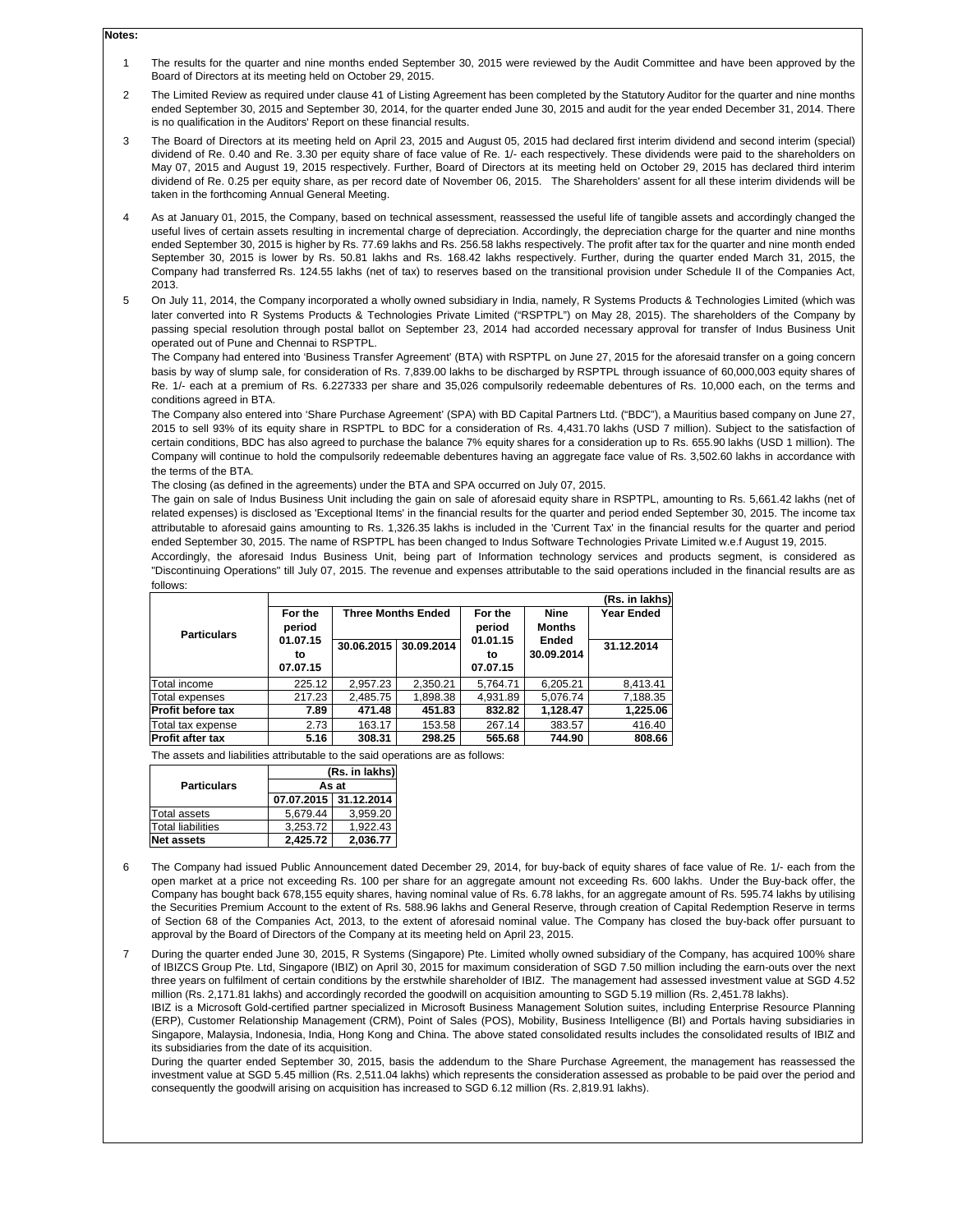## **Notes:**

- 1 The results for the quarter and nine months ended September 30, 2015 were reviewed by the Audit Committee and have been approved by the Board of Directors at its meeting held on October 29, 2015.
- $\overline{2}$ The Limited Review as required under clause 41 of Listing Agreement has been completed by the Statutory Auditor for the quarter and nine months ended September 30, 2015 and September 30, 2014, for the quarter ended June 30, 2015 and audit for the year ended December 31, 2014. There is no qualification in the Auditors' Report on these financial results.
- 3 The Board of Directors at its meeting held on April 23, 2015 and August 05, 2015 had declared first interim dividend and second interim (special) dividend of Re. 0.40 and Re. 3.30 per equity share of face value of Re. 1/- each respectively. These dividends were paid to the shareholders on May 07, 2015 and August 19, 2015 respectively. Further, Board of Directors at its meeting held on October 29, 2015 has declared third interim dividend of Re. 0.25 per equity share, as per record date of November 06, 2015. The Shareholders' assent for all these interim dividends will be taken in the forthcoming Annual General Meeting.
- 4 As at January 01, 2015, the Company, based on technical assessment, reassessed the useful life of tangible assets and accordingly changed the useful lives of certain assets resulting in incremental charge of depreciation. Accordingly, the depreciation charge for the quarter and nine months ended September 30, 2015 is higher by Rs. 77.69 lakhs and Rs. 256.58 lakhs respectively. The profit after tax for the quarter and nine month ended September 30, 2015 is lower by Rs. 50.81 lakhs and Rs. 168.42 lakhs respectively. Further, during the quarter ended March 31, 2015, the Company had transferred Rs. 124.55 lakhs (net of tax) to reserves based on the transitional provision under Schedule II of the Companies Act, 2013.
- 5 On July 11, 2014, the Company incorporated a wholly owned subsidiary in India, namely, R Systems Products & Technologies Limited (which was later converted into R Systems Products & Technologies Private Limited ("RSPTPL") on May 28, 2015). The shareholders of the Company by passing special resolution through postal ballot on September 23, 2014 had accorded necessary approval for transfer of Indus Business Unit operated out of Pune and Chennai to RSPTPL.

The Company had entered into 'Business Transfer Agreement' (BTA) with RSPTPL on June 27, 2015 for the aforesaid transfer on a going concern basis by way of slump sale, for consideration of Rs. 7,839.00 lakhs to be discharged by RSPTPL through issuance of 60,000,003 equity shares of Re. 1/- each at a premium of Rs. 6.227333 per share and 35,026 compulsorily redeemable debentures of Rs. 10,000 each, on the terms and conditions agreed in BTA.

The Company also entered into 'Share Purchase Agreement' (SPA) with BD Capital Partners Ltd. ("BDC"), a Mauritius based company on June 27, 2015 to sell 93% of its equity share in RSPTPL to BDC for a consideration of Rs. 4,431.70 lakhs (USD 7 million). Subject to the satisfaction of certain conditions, BDC has also agreed to purchase the balance 7% equity shares for a consideration up to Rs. 655.90 lakhs (USD 1 million). The Company will continue to hold the compulsorily redeemable debentures having an aggregate face value of Rs. 3,502.60 lakhs in accordance with the terms of the BTA.

The closing (as defined in the agreements) under the BTA and SPA occurred on July 07, 2015.

The gain on sale of Indus Business Unit including the gain on sale of aforesaid equity share in RSPTPL, amounting to Rs. 5,661.42 lakhs (net of related expenses) is disclosed as 'Exceptional Items' in the financial results for the quarter and period ended September 30, 2015. The income tax attributable to aforesaid gains amounting to Rs. 1,326.35 lakhs is included in the 'Current Tax' in the financial results for the quarter and period ended September 30, 2015. The name of RSPTPL has been changed to Indus Software Technologies Private Limited w.e.f August 19, 2015.

Accordingly, the aforesaid Indus Business Unit, being part of Information technology services and products segment, is considered as "Discontinuing Operations" till July 07, 2015. The revenue and expenses attributable to the said operations included in the financial results are as follows:

|                         |          |                                      |             |                   |               | (Rs. in lakhs) |
|-------------------------|----------|--------------------------------------|-------------|-------------------|---------------|----------------|
|                         | For the  | <b>Three Months Ended</b><br>For the | <b>Nine</b> | <b>Year Ended</b> |               |                |
| <b>Particulars</b>      | period   | 30.09.2014<br>30.06.2015             |             | period            | <b>Months</b> |                |
|                         | 01.07.15 |                                      |             | Ended<br>01.01.15 |               | 31.12.2014     |
|                         | to       |                                      |             | to                | 30.09.2014    |                |
|                         | 07.07.15 |                                      |             | 07.07.15          |               |                |
| Total income            | 225.12   | 2.957.23                             | 2.350.21    | 5.764.71          | 6.205.21      | 8,413.41       |
| Total expenses          | 217.23   | 2.485.75                             | 1,898.38    | 4.931.89          | 5.076.74      | 7,188.35       |
| Profit before tax       | 7.89     | 471.48                               | 451.83      | 832.82            | 1.128.47      | 1,225.06       |
| Total tax expense       | 2.73     | 163.17                               | 153.58      | 267.14            | 383.57        | 416.40         |
| <b>Profit after tax</b> | 5.16     | 308.31                               | 298.25      | 565.68            | 744.90        | 808.66         |

The assets and liabilities attributable to the said operations are as follows:

|                          | (Rs. in lakhs) |                       |  |  |
|--------------------------|----------------|-----------------------|--|--|
| <b>Particulars</b>       | As at          |                       |  |  |
|                          |                | 07.07.2015 31.12.2014 |  |  |
| <b>Total assets</b>      | 5.679.44       | 3.959.20              |  |  |
| <b>Total liabilities</b> | 3.253.72       | 1.922.43              |  |  |
| <b>Net assets</b>        | 2.425.72       | 2,036.77              |  |  |

6 The Company had issued Public Announcement dated December 29, 2014, for buy-back of equity shares of face value of Re. 1/- each from the open market at a price not exceeding Rs. 100 per share for an aggregate amount not exceeding Rs. 600 lakhs. Under the Buy-back offer, the Company has bought back 678,155 equity shares, having nominal value of Rs. 6.78 lakhs, for an aggregate amount of Rs. 595.74 lakhs by utilising the Securities Premium Account to the extent of Rs. 588.96 lakhs and General Reserve, through creation of Capital Redemption Reserve in terms of Section 68 of the Companies Act, 2013, to the extent of aforesaid nominal value. The Company has closed the buy-back offer pursuant to approval by the Board of Directors of the Company at its meeting held on April 23, 2015.

7 During the quarter ended June 30, 2015, R Systems (Singapore) Pte. Limited wholly owned subsidiary of the Company, has acquired 100% share of IBIZCS Group Pte. Ltd, Singapore (IBIZ) on April 30, 2015 for maximum consideration of SGD 7.50 million including the earn-outs over the next three years on fulfilment of certain conditions by the erstwhile shareholder of IBIZ. The management had assessed investment value at SGD 4.52 million (Rs. 2,171.81 lakhs) and accordingly recorded the goodwill on acquisition amounting to SGD 5.19 million (Rs. 2,451.78 lakhs).

IBIZ is a Microsoft Gold-certified partner specialized in Microsoft Business Management Solution suites, including Enterprise Resource Planning (ERP), Customer Relationship Management (CRM), Point of Sales (POS), Mobility, Business Intelligence (BI) and Portals having subsidiaries in Singapore, Malaysia, Indonesia, India, Hong Kong and China. The above stated consolidated results includes the consolidated results of IBIZ and its subsidiaries from the date of its acquisition.

During the quarter ended September 30, 2015, basis the addendum to the Share Purchase Agreement, the management has reassessed the investment value at SGD 5.45 million (Rs. 2,511.04 lakhs) which represents the consideration assessed as probable to be paid over the period and consequently the goodwill arising on acquisition has increased to SGD 6.12 million (Rs. 2,819.91 lakhs).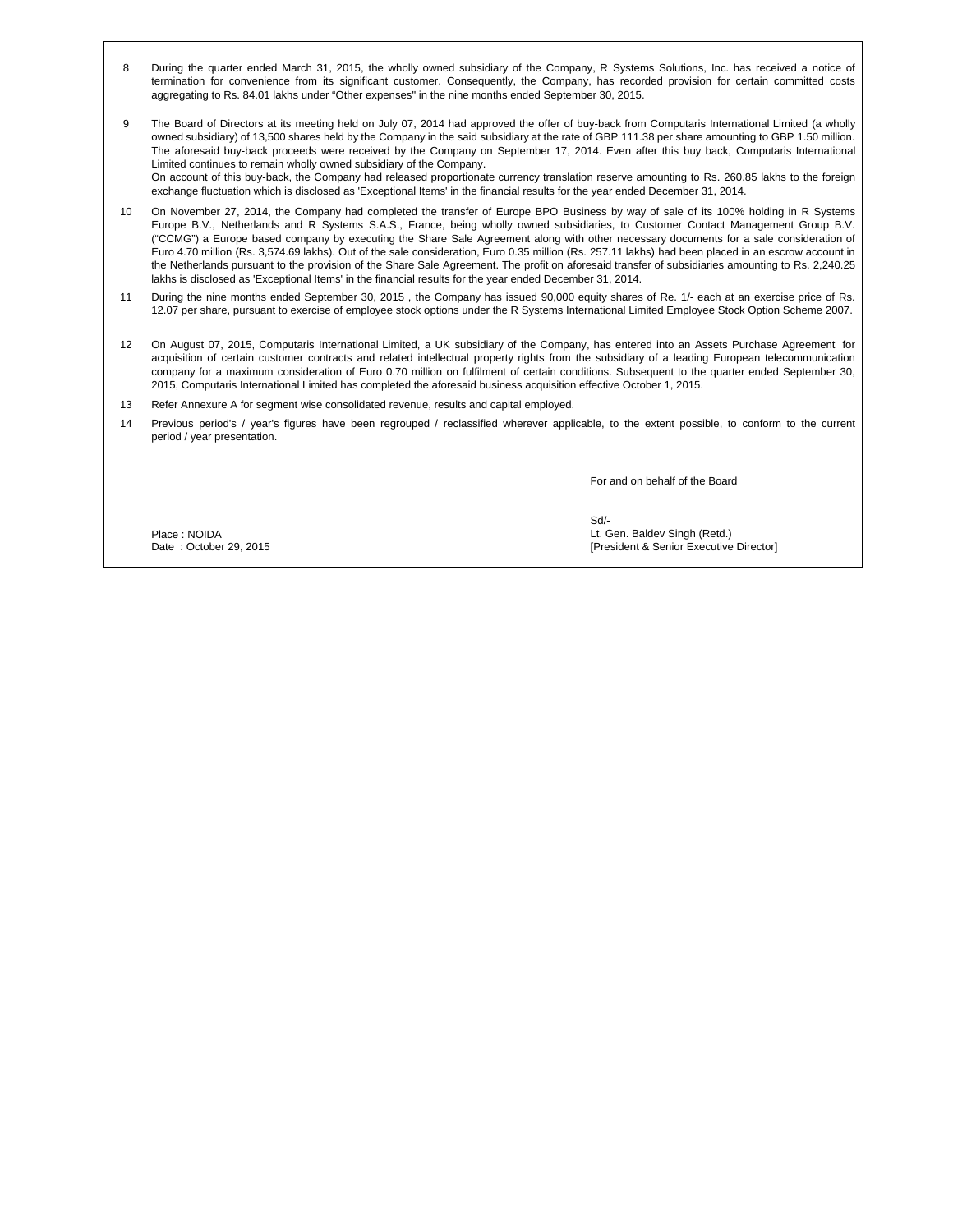- 8 During the quarter ended March 31, 2015, the wholly owned subsidiary of the Company, R Systems Solutions, Inc. has received a notice of termination for convenience from its significant customer. Consequently, the Company, has recorded provision for certain committed costs aggregating to Rs. 84.01 lakhs under "Other expenses" in the nine months ended September 30, 2015.
- 9 The Board of Directors at its meeting held on July 07, 2014 had approved the offer of buy-back from Computaris International Limited (a wholly owned subsidiary) of 13,500 shares held by the Company in the said subsidiary at the rate of GBP 111.38 per share amounting to GBP 1.50 million. The aforesaid buy-back proceeds were received by the Company on September 17, 2014. Even after this buy back, Computaris International Limited continues to remain wholly owned subsidiary of the Company. On account of this buy-back, the Company had released proportionate currency translation reserve amounting to Rs. 260.85 lakhs to the foreign exchange fluctuation which is disclosed as 'Exceptional Items' in the financial results for the year ended December 31, 2014.
- 10 On November 27, 2014, the Company had completed the transfer of Europe BPO Business by way of sale of its 100% holding in R Systems Europe B.V., Netherlands and R Systems S.A.S., France, being wholly owned subsidiaries, to Customer Contact Management Group B.V. ("CCMG") a Europe based company by executing the Share Sale Agreement along with other necessary documents for a sale consideration of Euro 4.70 million (Rs. 3,574.69 lakhs). Out of the sale consideration, Euro 0.35 million (Rs. 257.11 lakhs) had been placed in an escrow account in the Netherlands pursuant to the provision of the Share Sale Agreement. The profit on aforesaid transfer of subsidiaries amounting to Rs. 2,240.25 lakhs is disclosed as 'Exceptional Items' in the financial results for the year ended December 31, 2014.
- 11 During the nine months ended September 30, 2015 , the Company has issued 90,000 equity shares of Re. 1/- each at an exercise price of Rs. 12.07 per share, pursuant to exercise of employee stock options under the R Systems International Limited Employee Stock Option Scheme 2007.
- 12 On August 07, 2015, Computaris International Limited, a UK subsidiary of the Company, has entered into an Assets Purchase Agreement for acquisition of certain customer contracts and related intellectual property rights from the subsidiary of a leading European telecommunication company for a maximum consideration of Euro 0.70 million on fulfilment of certain conditions. Subsequent to the quarter ended September 30, 2015, Computaris International Limited has completed the aforesaid business acquisition effective October 1, 2015.
- 13 Refer Annexure A for segment wise consolidated revenue, results and capital employed.
- 14 Previous period's / year's figures have been regrouped / reclassified wherever applicable, to the extent possible, to conform to the current period / year presentation.

For and on behalf of the Board

Place : NOIDA Date: October 29, 2015 Sd/- Lt. Gen. Baldev Singh (Retd.) [President & Senior Executive Director]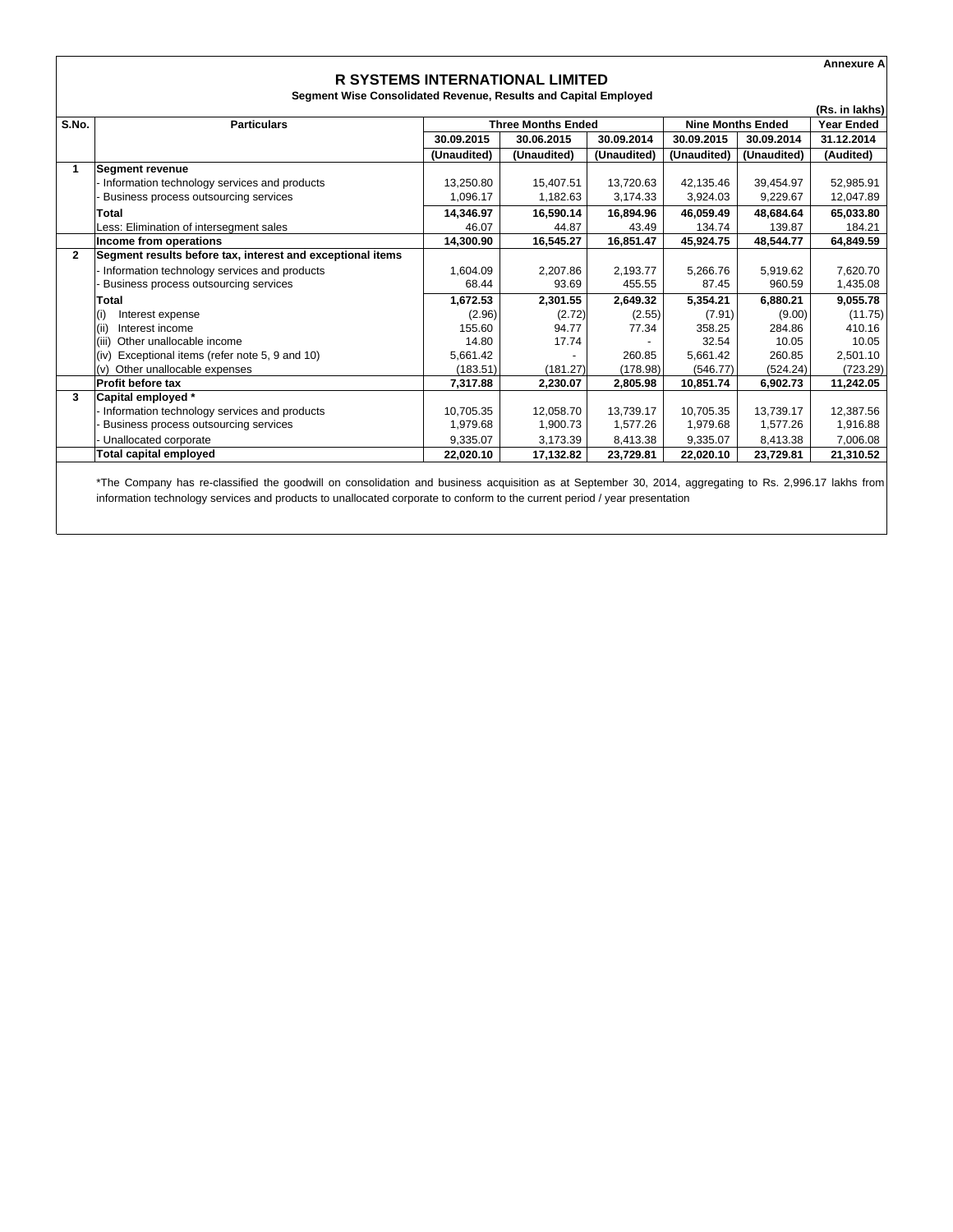|              |                                                                 |                                                       |                                        |             |             |             | <b>Annexure A</b> |
|--------------|-----------------------------------------------------------------|-------------------------------------------------------|----------------------------------------|-------------|-------------|-------------|-------------------|
|              |                                                                 |                                                       | <b>R SYSTEMS INTERNATIONAL LIMITED</b> |             |             |             |                   |
|              | Segment Wise Consolidated Revenue, Results and Capital Employed |                                                       |                                        |             |             |             |                   |
|              |                                                                 |                                                       |                                        |             |             |             | (Rs. in lakhs)    |
| S.No.        | <b>Particulars</b>                                              | <b>Three Months Ended</b><br><b>Nine Months Ended</b> |                                        |             |             |             | <b>Year Ended</b> |
|              |                                                                 | 30.09.2015                                            | 30.06.2015                             | 30.09.2014  | 30.09.2015  | 30.09.2014  | 31.12.2014        |
|              |                                                                 | (Unaudited)                                           | (Unaudited)                            | (Unaudited) | (Unaudited) | (Unaudited) | (Audited)         |
| 1            | Segment revenue                                                 |                                                       |                                        |             |             |             |                   |
|              | Information technology services and products                    | 13,250.80                                             | 15,407.51                              | 13,720.63   | 42,135.46   | 39,454.97   | 52,985.91         |
|              | Business process outsourcing services                           | 1,096.17                                              | 1,182.63                               | 3,174.33    | 3,924.03    | 9,229.67    | 12,047.89         |
|              | Total                                                           | 14,346.97                                             | 16,590.14                              | 16,894.96   | 46,059.49   | 48,684.64   | 65,033.80         |
|              | Less: Elimination of intersegment sales                         | 46.07                                                 | 44.87                                  | 43.49       | 134.74      | 139.87      | 184.21            |
|              | Income from operations                                          | 14,300.90                                             | 16,545.27                              | 16,851.47   | 45,924.75   | 48,544.77   | 64,849.59         |
| $\mathbf{2}$ | Segment results before tax, interest and exceptional items      |                                                       |                                        |             |             |             |                   |
|              | Information technology services and products                    | 1,604.09                                              | 2,207.86                               | 2,193.77    | 5,266.76    | 5,919.62    | 7,620.70          |
|              | Business process outsourcing services                           | 68.44                                                 | 93.69                                  | 455.55      | 87.45       | 960.59      | 1,435.08          |
|              | Total                                                           | 1,672.53                                              | 2,301.55                               | 2,649.32    | 5,354.21    | 6,880.21    | 9,055.78          |
|              | (i)<br>Interest expense                                         | (2.96)                                                | (2.72)                                 | (2.55)      | (7.91)      | (9.00)      | (11.75)           |
|              | (ii)<br>Interest income                                         | 155.60                                                | 94.77                                  | 77.34       | 358.25      | 284.86      | 410.16            |
|              | Other unallocable income<br>(iii)                               | 14.80                                                 | 17.74                                  |             | 32.54       | 10.05       | 10.05             |
|              | Exceptional items (refer note 5, 9 and 10)<br>(iv)              | 5.661.42                                              |                                        | 260.85      | 5.661.42    | 260.85      | 2,501.10          |
|              | Other unallocable expenses<br>(v)                               | (183.51)                                              | (181.27)                               | (178.98)    | (546.77)    | (524.24)    | (723.29)          |
|              | Profit before tax                                               | 7,317.88                                              | 2,230.07                               | 2,805.98    | 10,851.74   | 6,902.73    | 11,242.05         |
| 3            | Capital employed *                                              |                                                       |                                        |             |             |             |                   |
|              | Information technology services and products                    | 10,705.35                                             | 12,058.70                              | 13,739.17   | 10,705.35   | 13,739.17   | 12,387.56         |
|              | Business process outsourcing services                           | 1,979.68                                              | 1,900.73                               | 1,577.26    | 1,979.68    | 1,577.26    | 1,916.88          |
|              | Unallocated corporate                                           | 9,335.07                                              | 3,173.39                               | 8,413.38    | 9.335.07    | 8,413.38    | 7.006.08          |
|              | <b>Total capital employed</b>                                   | 22,020.10                                             | 17,132.82                              | 23,729.81   | 22,020.10   | 23,729.81   | 21,310.52         |

\*The Company has re-classified the goodwill on consolidation and business acquisition as at September 30, 2014, aggregating to Rs. 2,996.17 lakhs from information technology services and products to unallocated corporate to conform to the current period / year presentation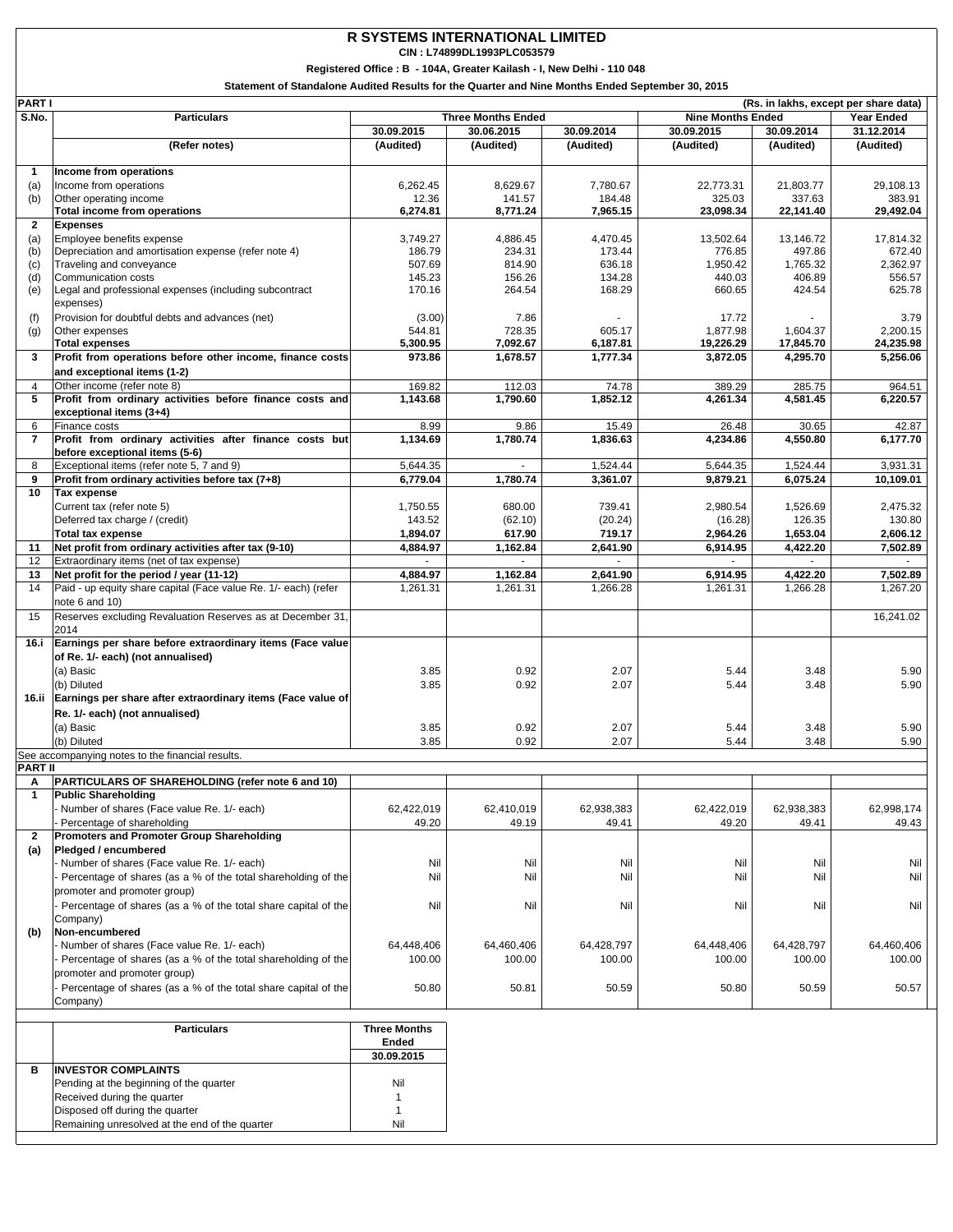## **R SYSTEMS INTERNATIONAL LIMITED**

**CIN : L74899DL1993PLC053579**

**Registered Office : B - 104A, Greater Kailash - I, New Delhi - 110 048**

**Statement of Standalone Audited Results for the Quarter and Nine Months Ended September 30, 2015**

| PART I         | (Rs. in lakhs, except per share data)                                                          |                      |                           |                    |                          |                      |                      |
|----------------|------------------------------------------------------------------------------------------------|----------------------|---------------------------|--------------------|--------------------------|----------------------|----------------------|
| S.No.          | <b>Particulars</b>                                                                             |                      | <b>Three Months Ended</b> |                    | <b>Nine Months Ended</b> |                      | <b>Year Ended</b>    |
|                |                                                                                                | 30.09.2015           | 30.06.2015                | 30.09.2014         | 30.09.2015               | 30.09.2014           | 31.12.2014           |
|                | (Refer notes)                                                                                  | (Audited)            | (Audited)                 | (Audited)          | (Audited)                | (Audited)            | (Audited)            |
|                |                                                                                                |                      |                           |                    |                          |                      |                      |
| 1              | Income from operations                                                                         |                      |                           |                    |                          |                      |                      |
| (a)            | Income from operations                                                                         | 6,262.45             | 8,629.67                  | 7.780.67           | 22,773.31                | 21,803.77            | 29,108.13            |
| (b)            | Other operating income                                                                         | 12.36                | 141.57                    | 184.48             | 325.03                   | 337.63               | 383.91               |
| $\overline{2}$ | <b>Total income from operations</b>                                                            | 6,274.81             | 8,771.24                  | 7,965.15           | 23,098.34                | 22,141.40            | 29,492.04            |
|                | <b>Expenses</b><br>Employee benefits expense                                                   | 3,749.27             | 4,886.45                  | 4,470.45           | 13,502.64                | 13,146.72            | 17,814.32            |
| (a)<br>(b)     | Depreciation and amortisation expense (refer note 4)                                           | 186.79               | 234.31                    | 173.44             | 776.85                   | 497.86               | 672.40               |
| (c)            | Traveling and conveyance                                                                       | 507.69               | 814.90                    | 636.18             | 1,950.42                 | 1.765.32             | 2,362.97             |
| (d)            | Communication costs                                                                            | 145.23               | 156.26                    | 134.28             | 440.03                   | 406.89               | 556.57               |
| (e)            | Legal and professional expenses (including subcontract                                         | 170.16               | 264.54                    | 168.29             | 660.65                   | 424.54               | 625.78               |
|                | expenses)                                                                                      |                      |                           |                    |                          |                      |                      |
| (f)            | Provision for doubtful debts and advances (net)                                                | (3.00)               | 7.86                      |                    | 17.72                    |                      | 3.79                 |
| (g)            | Other expenses                                                                                 | 544.81               | 728.35                    | 605.17             | 1,877.98                 | 1,604.37             | 2,200.15             |
|                | <b>Total expenses</b>                                                                          | 5,300.95             | 7,092.67                  | 6,187.81           | 19,226.29                | 17,845.70            | 24,235.98            |
| 3              | Profit from operations before other income, finance costs                                      | 973.86               | 1,678.57                  | 1,777.34           | 3,872.05                 | 4,295.70             | 5,256.06             |
|                | and exceptional items (1-2)                                                                    |                      |                           |                    |                          |                      |                      |
| 4              | Other income (refer note 8)                                                                    | 169.82               | 112.03                    | 74.78              | 389.29                   | 285.75               | 964.51               |
| 5              | Profit from ordinary activities before finance costs and                                       | 1,143.68             | 1,790.60                  | 1,852.12           | 4,261.34                 | 4,581.45             | 6,220.57             |
|                | exceptional items (3+4)                                                                        |                      |                           |                    |                          |                      |                      |
| 6              | Finance costs                                                                                  | 8.99                 | 9.86                      | 15.49              | 26.48                    | 30.65                | 42.87                |
| $\overline{7}$ | Profit from ordinary activities after finance costs but                                        | 1,134.69             | 1,780.74                  | 1,836.63           | 4,234.86                 | 4,550.80             | 6,177.70             |
|                | before exceptional items (5-6)                                                                 |                      |                           |                    |                          |                      |                      |
| 8              | Exceptional items (refer note 5, 7 and 9)                                                      | 5,644.35             |                           | 1,524.44           | 5,644.35                 | 1,524.44             | 3,931.31             |
| 9              | Profit from ordinary activities before tax (7+8)                                               | 6,779.04             | 1,780.74                  | 3,361.07           | 9,879.21                 | 6,075.24             | 10,109.01            |
| 10             | Tax expense                                                                                    |                      |                           |                    |                          |                      |                      |
|                | Current tax (refer note 5)                                                                     | 1,750.55             | 680.00                    | 739.41             | 2,980.54                 | 1,526.69             | 2,475.32             |
|                | Deferred tax charge / (credit)                                                                 | 143.52               | (62.10)                   | (20.24)            | (16.28)                  | 126.35               | 130.80               |
| 11             | <b>Total tax expense</b><br>Net profit from ordinary activities after tax (9-10)               | 1,894.07<br>4,884.97 | 617.90<br>1,162.84        | 719.17<br>2,641.90 | 2,964.26<br>6,914.95     | 1,653.04<br>4,422.20 | 2,606.12<br>7,502.89 |
| 12             | Extraordinary items (net of tax expense)                                                       |                      |                           |                    |                          |                      |                      |
| 13             | Net profit for the period / year (11-12)                                                       | 4,884.97             | 1,162.84                  | 2,641.90           | 6,914.95                 | 4,422.20             | 7,502.89             |
| 14             | Paid - up equity share capital (Face value Re. 1/- each) (refer                                | 1,261.31             | 1,261.31                  | 1,266.28           | 1,261.31                 | 1,266.28             | 1,267.20             |
|                | note 6 and 10)                                                                                 |                      |                           |                    |                          |                      |                      |
| 15             | Reserves excluding Revaluation Reserves as at December 31,                                     |                      |                           |                    |                          |                      | 16,241.02            |
|                | 2014                                                                                           |                      |                           |                    |                          |                      |                      |
| 16.i           | Earnings per share before extraordinary items (Face value                                      |                      |                           |                    |                          |                      |                      |
|                | of Re. 1/- each) (not annualised)                                                              |                      |                           |                    |                          |                      |                      |
|                | (a) Basic                                                                                      | 3.85                 | 0.92                      | 2.07               | 5.44                     | 3.48                 | 5.90                 |
|                | (b) Diluted                                                                                    | 3.85                 | 0.92                      | 2.07               | 5.44                     | 3.48                 | 5.90                 |
|                | 16.ii Earnings per share after extraordinary items (Face value of                              |                      |                           |                    |                          |                      |                      |
|                | Re. 1/- each) (not annualised)                                                                 |                      |                           |                    |                          |                      |                      |
|                | (a) Basic                                                                                      | 3.85                 | 0.92                      | 2.07               | 5.44                     | 3.48                 | 5.90                 |
|                | (b) Diluted                                                                                    | 3.85                 | 0.92                      | 2.07               | 5.44                     | 3.48                 | 5.90                 |
|                | See accompanying notes to the financial results.                                               |                      |                           |                    |                          |                      |                      |
| PART II        |                                                                                                |                      |                           |                    |                          |                      |                      |
| A              | PARTICULARS OF SHAREHOLDING (refer note 6 and 10)                                              |                      |                           |                    |                          |                      |                      |
| $\mathbf{1}$   | <b>Public Shareholding</b>                                                                     |                      |                           |                    |                          |                      |                      |
|                | Number of shares (Face value Re. 1/- each)                                                     | 62,422,019           | 62,410,019                | 62,938,383         | 62,422,019               | 62,938,383           | 62,998,174           |
|                | Percentage of shareholding                                                                     | 49.20                | 49.19                     | 49.41              | 49.20                    | 49.41                | 49.43                |
| $\overline{2}$ | Promoters and Promoter Group Shareholding                                                      |                      |                           |                    |                          |                      |                      |
| (a)            | Pledged / encumbered                                                                           |                      |                           |                    |                          |                      |                      |
|                | Number of shares (Face value Re. 1/- each)                                                     | Nil<br>Nil           | Nil                       | Nil<br>Nil         | Nil                      | Nil<br>Nil           | Nil                  |
|                | Percentage of shares (as a % of the total shareholding of the                                  |                      | Nil                       |                    | Nil                      |                      | Nil                  |
|                | promoter and promoter group)<br>Percentage of shares (as a % of the total share capital of the |                      |                           |                    |                          |                      |                      |
|                |                                                                                                | Nil                  | Nil                       | Nil                | Nil                      | Nil                  | Nil                  |
| (b)            | Company)<br>Non-encumbered                                                                     |                      |                           |                    |                          |                      |                      |
|                | Number of shares (Face value Re. 1/- each)                                                     | 64,448,406           | 64,460,406                | 64,428,797         | 64,448,406               | 64,428,797           | 64,460,406           |
|                | Percentage of shares (as a % of the total shareholding of the                                  | 100.00               | 100.00                    | 100.00             | 100.00                   | 100.00               | 100.00               |
|                | promoter and promoter group)                                                                   |                      |                           |                    |                          |                      |                      |
|                | Percentage of shares (as a % of the total share capital of the                                 | 50.80                | 50.81                     | 50.59              | 50.80                    | 50.59                | 50.57                |
|                | Company)                                                                                       |                      |                           |                    |                          |                      |                      |
|                |                                                                                                |                      |                           |                    |                          |                      |                      |

|   | <b>Particulars</b>                             | <b>Three Months</b><br>Ended |
|---|------------------------------------------------|------------------------------|
|   |                                                | 30.09.2015                   |
| в | <b>INVESTOR COMPLAINTS</b>                     |                              |
|   | Pending at the beginning of the quarter        | Nil                          |
|   | Received during the quarter                    |                              |
|   | Disposed off during the quarter                |                              |
|   | Remaining unresolved at the end of the quarter | Nil                          |
|   |                                                |                              |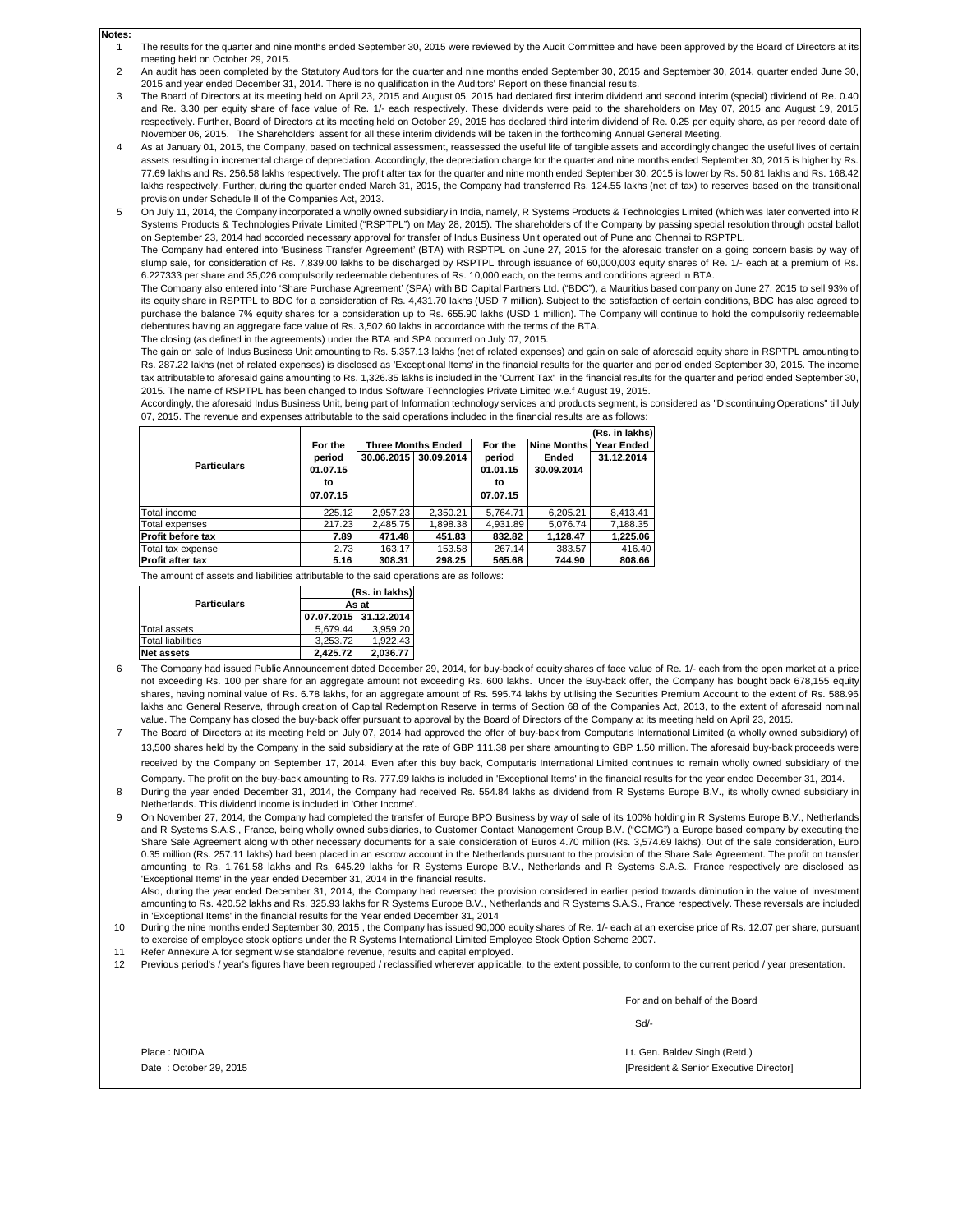- 1 The results for the quarter and nine months ended September 30, 2015 were reviewed by the Audit Committee and have been approved by the Board of Directors at its meeting held on October 29, 2015.
- $\mathfrak{2}$ An audit has been completed by the Statutory Auditors for the quarter and nine months ended September 30, 2015 and September 30, 2014, quarter ended June 30, 2015 and year ended December 31, 2014. There is no qualification in the Auditors' Report on these financial results.
- 3 The Board of Directors at its meeting held on April 23, 2015 and August 05, 2015 had declared first interim dividend and second interim (special) dividend of Re. 0.40 and Re. 3.30 per equity share of face value of Re. 1/- each respectively. These dividends were paid to the shareholders on May 07, 2015 and August 19, 2015 respectively. Further, Board of Directors at its meeting held on October 29, 2015 has declared third interim dividend of Re. 0.25 per equity share, as per record date of November 06, 2015. The Shareholders' assent for all these interim dividends will be taken in the forthcoming Annual General Meeting.
- 4 As at January 01, 2015, the Company, based on technical assessment, reassessed the useful life of tangible assets and accordingly changed the useful lives of certain assets resulting in incremental charge of depreciation. Accordingly, the depreciation charge for the quarter and nine months ended September 30, 2015 is higher by Rs. 77.69 lakhs and Rs. 256.58 lakhs respectively. The profit after tax for the quarter and nine month ended September 30, 2015 is lower by Rs. 50.81 lakhs and Rs. 168.42 lakhs respectively. Further, during the quarter ended March 31, 2015, the Company had transferred Rs. 124.55 lakhs (net of tax) to reserves based on the transitional provision under Schedule II of the Companies Act, 2013.
- 5 On July 11, 2014, the Company incorporated a wholly owned subsidiary in India, namely, R Systems Products & Technologies Limited (which was later converted into R Systems Products & Technologies Private Limited ("RSPTPL") on May 28, 2015). The shareholders of the Company by passing special resolution through postal ballot on September 23, 2014 had accorded necessary approval for transfer of Indus Business Unit operated out of Pune and Chennai to RSPTPL.

The Company had entered into 'Business Transfer Agreement' (BTA) with RSPTPL on June 27, 2015 for the aforesaid transfer on a going concern basis by way of slump sale, for consideration of Rs. 7,839.00 lakhs to be discharged by RSPTPL through issuance of 60,000,003 equity shares of Re. 1/- each at a premium of Rs. 6.227333 per share and 35,026 compulsorily redeemable debentures of Rs. 10,000 each, on the terms and conditions agreed in BTA.

The Company also entered into 'Share Purchase Agreement' (SPA) with BD Capital Partners Ltd. ("BDC"), a Mauritius based company on June 27, 2015 to sell 93% of its equity share in RSPTPL to BDC for a consideration of Rs. 4,431.70 lakhs (USD 7 million). Subject to the satisfaction of certain conditions, BDC has also agreed to purchase the balance 7% equity shares for a consideration up to Rs. 655.90 lakhs (USD 1 million). The Company will continue to hold the compulsorily redeemable debentures having an aggregate face value of Rs. 3,502.60 lakhs in accordance with the terms of the BTA.

The closing (as defined in the agreements) under the BTA and SPA occurred on July 07, 2015.

The gain on sale of Indus Business Unit amounting to Rs. 5,357.13 lakhs (net of related expenses) and gain on sale of aforesaid equity share in RSPTPL amounting to Rs. 287.22 lakhs (net of related expenses) is disclosed as 'Exceptional Items' in the financial results for the quarter and period ended September 30, 2015. The income tax attributable to aforesaid gains amounting to Rs. 1,326.35 lakhs is included in the 'Current Tax' in the financial results for the quarter and period ended September 30, 2015. The name of RSPTPL has been changed to Indus Software Technologies Private Limited w.e.f August 19, 2015.

Accordingly, the aforesaid Indus Business Unit, being part of Information technology services and products segment, is considered as "Discontinuing Operations" till July 07, 2015. The revenue and expenses attributable to the said operations included in the financial results are as follows:

|                          |          |                           |            |          |             | (Rs. in lakhs) |
|--------------------------|----------|---------------------------|------------|----------|-------------|----------------|
|                          | For the  | <b>Three Months Ended</b> |            | For the  | Nine Months | Year Ended     |
|                          | period   | 30.06.2015                | 30.09.2014 | period   | Ended       | 31.12.2014     |
| <b>Particulars</b>       | 01.07.15 |                           |            | 01.01.15 | 30.09.2014  |                |
|                          | to       |                           |            | to       |             |                |
|                          | 07.07.15 |                           |            | 07.07.15 |             |                |
| Total income             | 225.12   | 2.957.23                  | 2.350.21   | 5.764.71 | 6.205.21    | 8.413.41       |
| Total expenses           | 217.23   | 2.485.75                  | 1.898.38   | 4.931.89 | 5,076.74    | 7.188.35       |
| <b>Profit before tax</b> | 7.89     | 471.48                    | 451.83     | 832.82   | 1.128.47    | 1.225.06       |
| Total tax expense        | 2.73     | 163.17                    | 153.58     | 267.14   | 383.57      | 416.40         |
| <b>Profit after tax</b>  | 5.16     | 308.31                    | 298.25     | 565.68   | 744.90      | 808.66         |

The amount of assets and liabilities attributable to the said operations are as follows:

|                          | (Rs. in lakhs)<br>As at |                       |  |  |  |
|--------------------------|-------------------------|-----------------------|--|--|--|
| <b>Particulars</b>       |                         |                       |  |  |  |
|                          |                         | 07.07.2015 31.12.2014 |  |  |  |
| Total assets             | 5.679.44                | 3.959.20              |  |  |  |
| <b>Total liabilities</b> | 3.253.72                | 1.922.43              |  |  |  |
| <b>Net assets</b>        | 2.425.72                | 2,036.77              |  |  |  |

**Notes:**

- 6 The Company had issued Public Announcement dated December 29, 2014, for buy-back of equity shares of face value of Re. 1/- each from the open market at a price not exceeding Rs. 100 per share for an aggregate amount not exceeding Rs. 600 lakhs. Under the Buy-back offer, the Company has bought back 678,155 equity shares, having nominal value of Rs. 6.78 lakhs, for an aggregate amount of Rs. 595.74 lakhs by utilising the Securities Premium Account to the extent of Rs. 588.96 lakhs and General Reserve, through creation of Capital Redemption Reserve in terms of Section 68 of the Companies Act, 2013, to the extent of aforesaid nominal value. The Company has closed the buy-back offer pursuant to approval by the Board of Directors of the Company at its meeting held on April 23, 2015.
- 7 The Board of Directors at its meeting held on July 07, 2014 had approved the offer of buy-back from Computaris International Limited (a wholly owned subsidiary) of 13,500 shares held by the Company in the said subsidiary at the rate of GBP 111.38 per share amounting to GBP 1.50 million. The aforesaid buy-back proceeds were received by the Company on September 17, 2014. Even after this buy back, Computaris International Limited continues to remain wholly owned subsidiary of the Company. The profit on the buy-back amounting to Rs. 777.99 lakhs is included in 'Exceptional Items' in the financial results for the year ended December 31, 2014.
- 8  $\overline{Q}$ During the year ended December 31, 2014, the Company had received Rs. 554.84 lakhs as dividend from R Systems Europe B.V., its wholly owned subsidiary in Netherlands. This dividend income is included in 'Other Income'. On November 27, 2014, the Company had completed the transfer of Europe BPO Business by way of sale of its 100% holding in R Systems Europe B.V., Netherlands

and R Systems S.A.S., France, being wholly owned subsidiaries, to Customer Contact Management Group B.V. ("CCMG") a Europe based company by executing the Share Sale Agreement along with other necessary documents for a sale consideration of Euros 4.70 million (Rs. 3,574.69 lakhs). Out of the sale consideration, Euro 0.35 million (Rs. 257.11 lakhs) had been placed in an escrow account in the Netherlands pursuant to the provision of the Share Sale Agreement. The profit on transfer amounting to Rs. 1,761.58 lakhs and Rs. 645.29 lakhs for R Systems Europe B.V., Netherlands and R Systems S.A.S., France respectively are disclosed as 'Exceptional Items' in the year ended December 31, 2014 in the financial results.

Also, during the year ended December 31, 2014, the Company had reversed the provision considered in earlier period towards diminution in the value of investmen amounting to Rs. 420.52 lakhs and Rs. 325.93 lakhs for R Systems Europe B.V., Netherlands and R Systems S.A.S., France respectively. These reversals are included in 'Exceptional Items' in the financial results for the Year ended December 31, 2014

10 During the nine months ended September 30, 2015, the Company has issued 90,000 equity shares of Re. 1/- each at an exercise price of Rs. 12.07 per share, pursuant to exercise of employee stock options under the R Systems International Limited Employee Stock Option Scheme 2007.

- 11 Refer Annexure A for segment wise standalone revenue, results and capital employed.
- 12 Previous period's / year's figures have been regrouped / reclassified wherever applicable, to the extent possible, to conform to the current period / year presentation.

For and on behalf of the Board

Sd/-

Place : NOIDA Date : October 29, 2015 [President & Senior Executive Director] Lt. Gen. Baldev Singh (Retd.)